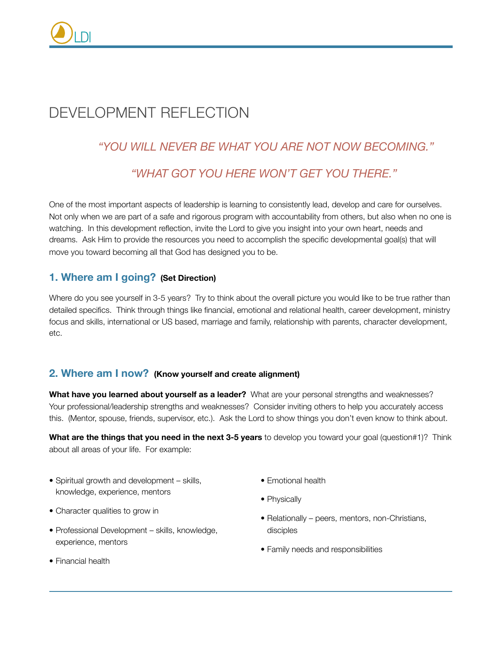# DEVELOPMENT REFLECTION

# *"YOU WILL NEVER BE WHAT YOU ARE NOT NOW BECOMING."*

## *"WHAT GOT YOU HERE WON'T GET YOU THERE."*

One of the most important aspects of leadership is learning to consistently lead, develop and care for ourselves. Not only when we are part of a safe and rigorous program with accountability from others, but also when no one is watching. In this development reflection, invite the Lord to give you insight into your own heart, needs and dreams. Ask Him to provide the resources you need to accomplish the specific developmental goal(s) that will move you toward becoming all that God has designed you to be.

### **1. Where am I going? (Set Direction)**

Where do you see yourself in 3-5 years? Try to think about the overall picture you would like to be true rather than detailed specifics. Think through things like financial, emotional and relational health, career development, ministry focus and skills, international or US based, marriage and family, relationship with parents, character development, etc.

### **2. Where am I now? (Know yourself and create alignment)**

**What have you learned about yourself as a leader?** What are your personal strengths and weaknesses? Your professional/leadership strengths and weaknesses? Consider inviting others to help you accurately access this. (Mentor, spouse, friends, supervisor, etc.). Ask the Lord to show things you don't even know to think about.

**What are the things that you need in the next 3-5 years** to develop you toward your goal (question#1)? Think about all areas of your life. For example:

- Spiritual growth and development skills, knowledge, experience, mentors
- Character qualities to grow in
- Professional Development skills, knowledge, experience, mentors
- Financial health
- Emotional health
- Physically
- Relationally peers, mentors, non-Christians, disciples
- Family needs and responsibilities